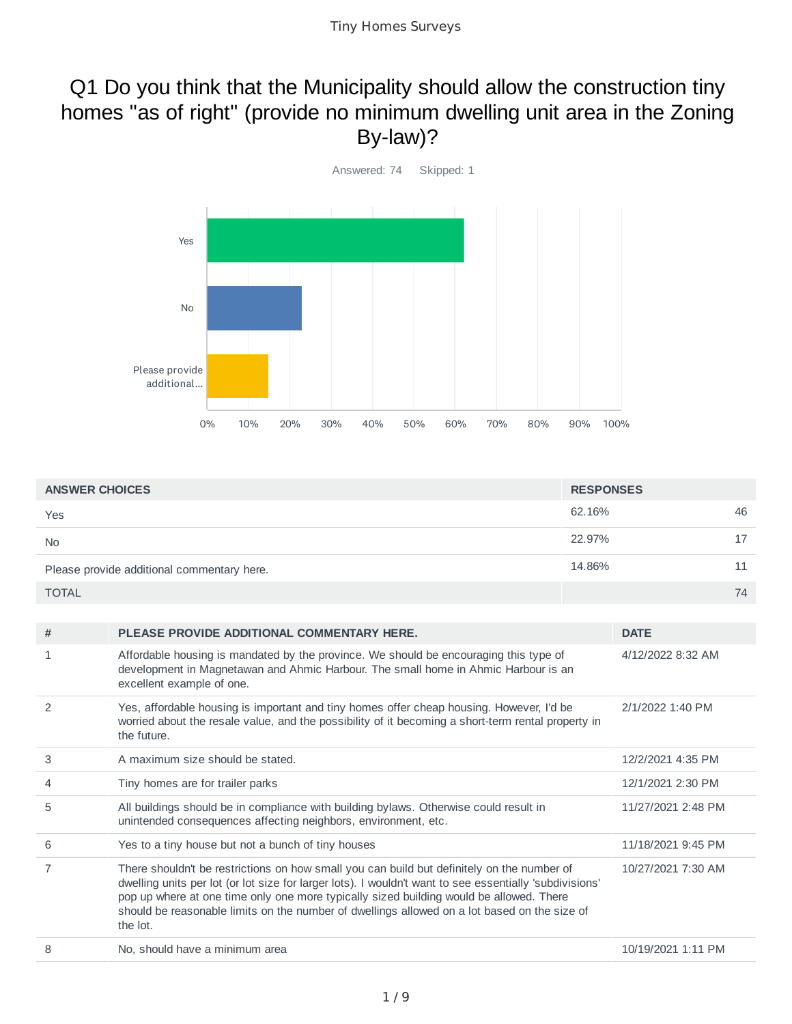### Q1 Do you think that the Municipality should allow the construction tiny homes "as of right" (provide no minimum dwelling unit area in the Zoning By-law)?



| <b>ANSWER CHOICES</b>                      | <b>RESPONSES</b> |    |
|--------------------------------------------|------------------|----|
| Yes                                        | 62.16%           | 46 |
| <b>No</b>                                  | 22.97%           | 17 |
| Please provide additional commentary here. | 14.86%           | 11 |
| <b>TOTAL</b>                               |                  | 74 |

| #             | PLEASE PROVIDE ADDITIONAL COMMENTARY HERE.                                                                                                                                                                                                                                                                                                                                                                   | <b>DATE</b>        |
|---------------|--------------------------------------------------------------------------------------------------------------------------------------------------------------------------------------------------------------------------------------------------------------------------------------------------------------------------------------------------------------------------------------------------------------|--------------------|
| 1             | Affordable housing is mandated by the province. We should be encouraging this type of<br>development in Magnetawan and Ahmic Harbour. The small home in Ahmic Harbour is an<br>excellent example of one.                                                                                                                                                                                                     | 4/12/2022 8:32 AM  |
| $\mathcal{P}$ | Yes, affordable housing is important and tiny homes offer cheap housing. However, I'd be<br>worried about the resale value, and the possibility of it becoming a short-term rental property in<br>the future.                                                                                                                                                                                                | 2/1/2022 1:40 PM   |
| 3             | A maximum size should be stated.                                                                                                                                                                                                                                                                                                                                                                             | 12/2/2021 4:35 PM  |
| 4             | Tiny homes are for trailer parks                                                                                                                                                                                                                                                                                                                                                                             | 12/1/2021 2:30 PM  |
| 5             | All buildings should be in compliance with building bylaws. Otherwise could result in<br>unintended consequences affecting neighbors, environment, etc.                                                                                                                                                                                                                                                      | 11/27/2021 2:48 PM |
| 6             | Yes to a tiny house but not a bunch of tiny houses                                                                                                                                                                                                                                                                                                                                                           | 11/18/2021 9:45 PM |
| 7             | There shouldn't be restrictions on how small you can build but definitely on the number of<br>dwelling units per lot (or lot size for larger lots). I wouldn't want to see essentially 'subdivisions'<br>pop up where at one time only one more typically sized building would be allowed. There<br>should be reasonable limits on the number of dwellings allowed on a lot based on the size of<br>the lot. | 10/27/2021 7:30 AM |
| 8             | No, should have a minimum area                                                                                                                                                                                                                                                                                                                                                                               | 10/19/2021 1:11 PM |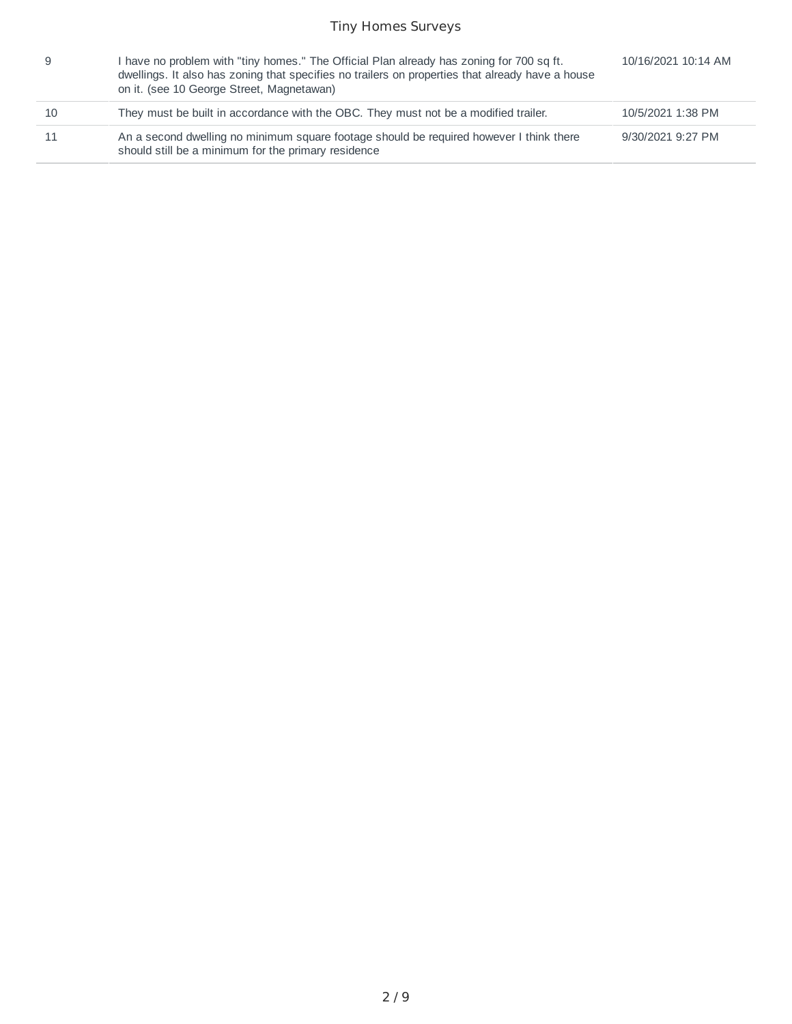|    | I have no problem with "tiny homes." The Official Plan already has zoning for 700 sq ft.<br>dwellings. It also has zoning that specifies no trailers on properties that already have a house<br>on it. (see 10 George Street, Magnetawan) | 10/16/2021 10:14 AM |
|----|-------------------------------------------------------------------------------------------------------------------------------------------------------------------------------------------------------------------------------------------|---------------------|
| 10 | They must be built in accordance with the OBC. They must not be a modified trailer.                                                                                                                                                       | 10/5/2021 1:38 PM   |
|    | An a second dwelling no minimum square footage should be required however I think there<br>should still be a minimum for the primary residence                                                                                            | 9/30/2021 9:27 PM   |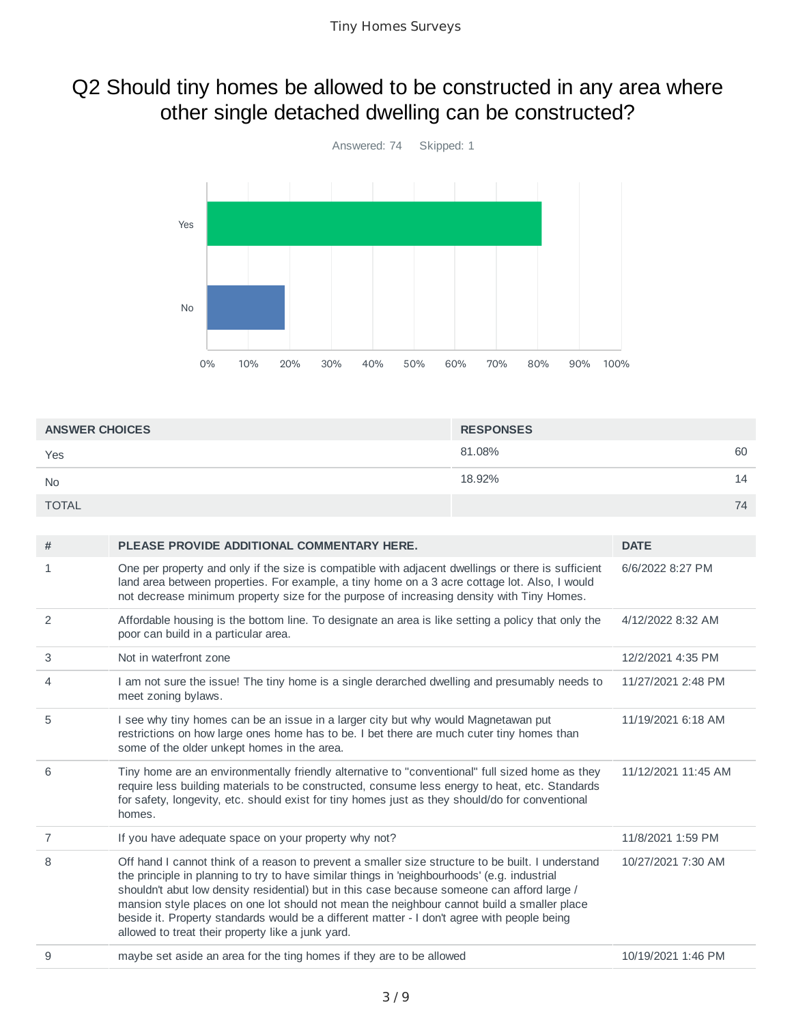# Q2 Should tiny homes be allowed to be constructed in any area where other single detached dwelling can be constructed?



| <b>ANSWER CHOICES</b> | <b>RESPONSES</b> |    |
|-----------------------|------------------|----|
| Yes                   | 81.08%           | 60 |
| <b>No</b>             | 18.92%           | 14 |
| <b>TOTAL</b>          |                  | 74 |

| # | PLEASE PROVIDE ADDITIONAL COMMENTARY HERE.                                                                                                                                                                                                                                                                                                                                                                                                                                                                                                         | <b>DATE</b>         |
|---|----------------------------------------------------------------------------------------------------------------------------------------------------------------------------------------------------------------------------------------------------------------------------------------------------------------------------------------------------------------------------------------------------------------------------------------------------------------------------------------------------------------------------------------------------|---------------------|
| 1 | One per property and only if the size is compatible with adjacent dwellings or there is sufficient<br>land area between properties. For example, a tiny home on a 3 acre cottage lot. Also, I would<br>not decrease minimum property size for the purpose of increasing density with Tiny Homes.                                                                                                                                                                                                                                                   | 6/6/2022 8:27 PM    |
| 2 | Affordable housing is the bottom line. To designate an area is like setting a policy that only the<br>poor can build in a particular area.                                                                                                                                                                                                                                                                                                                                                                                                         | 4/12/2022 8:32 AM   |
| 3 | Not in waterfront zone                                                                                                                                                                                                                                                                                                                                                                                                                                                                                                                             | 12/2/2021 4:35 PM   |
| 4 | I am not sure the issue! The tiny home is a single derarched dwelling and presumably needs to<br>meet zoning bylaws.                                                                                                                                                                                                                                                                                                                                                                                                                               | 11/27/2021 2:48 PM  |
| 5 | I see why tiny homes can be an issue in a larger city but why would Magnetawan put<br>restrictions on how large ones home has to be. I bet there are much cuter tiny homes than<br>some of the older unkept homes in the area.                                                                                                                                                                                                                                                                                                                     | 11/19/2021 6:18 AM  |
| 6 | Tiny home are an environmentally friendly alternative to "conventional" full sized home as they<br>require less building materials to be constructed, consume less energy to heat, etc. Standards<br>for safety, longevity, etc. should exist for tiny homes just as they should/do for conventional<br>homes.                                                                                                                                                                                                                                     | 11/12/2021 11:45 AM |
| 7 | If you have adequate space on your property why not?                                                                                                                                                                                                                                                                                                                                                                                                                                                                                               | 11/8/2021 1:59 PM   |
| 8 | Off hand I cannot think of a reason to prevent a smaller size structure to be built. I understand<br>the principle in planning to try to have similar things in 'neighbourhoods' (e.g. industrial<br>shouldn't abut low density residential) but in this case because someone can afford large /<br>mansion style places on one lot should not mean the neighbour cannot build a smaller place<br>beside it. Property standards would be a different matter - I don't agree with people being<br>allowed to treat their property like a junk yard. | 10/27/2021 7:30 AM  |
| 9 | maybe set aside an area for the ting homes if they are to be allowed                                                                                                                                                                                                                                                                                                                                                                                                                                                                               | 10/19/2021 1:46 PM  |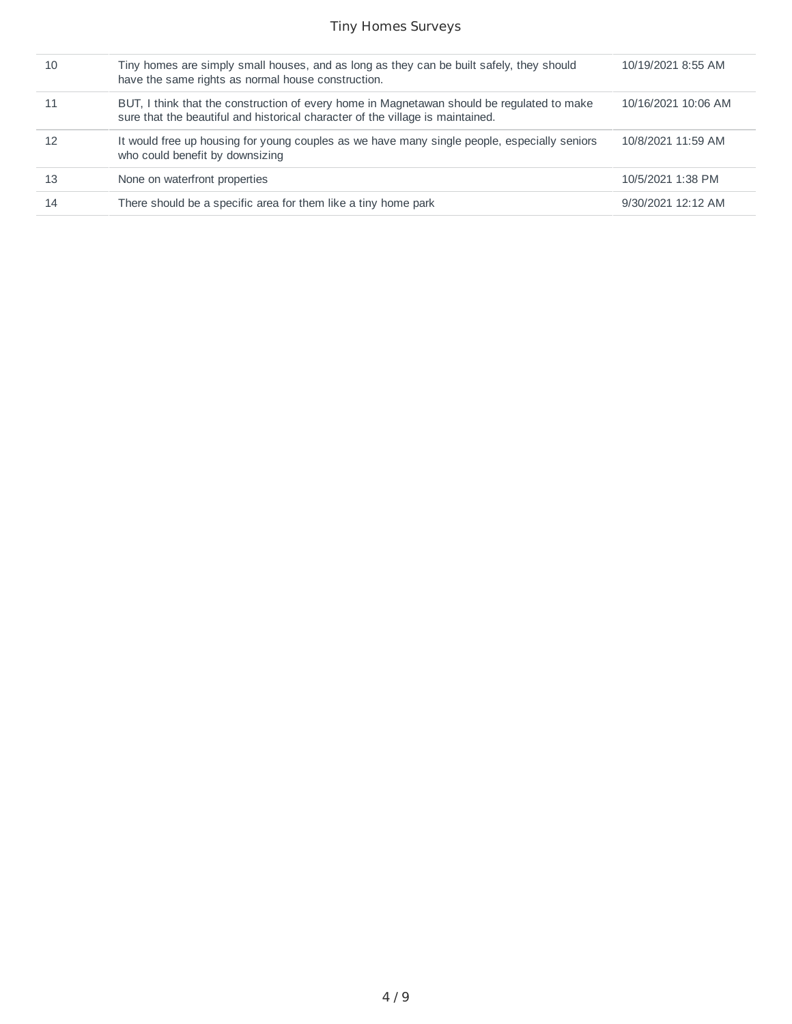| 10 | Tiny homes are simply small houses, and as long as they can be built safely, they should<br>have the same rights as normal house construction.                               | 10/19/2021 8:55 AM  |
|----|------------------------------------------------------------------------------------------------------------------------------------------------------------------------------|---------------------|
|    | BUT, I think that the construction of every home in Magnetawan should be regulated to make<br>sure that the beautiful and historical character of the village is maintained. | 10/16/2021 10:06 AM |
| 12 | It would free up housing for young couples as we have many single people, especially seniors<br>who could benefit by downsizing                                              | 10/8/2021 11:59 AM  |
| 13 | None on waterfront properties                                                                                                                                                | 10/5/2021 1:38 PM   |
| 14 | There should be a specific area for them like a tiny home park                                                                                                               | 9/30/2021 12:12 AM  |
|    |                                                                                                                                                                              |                     |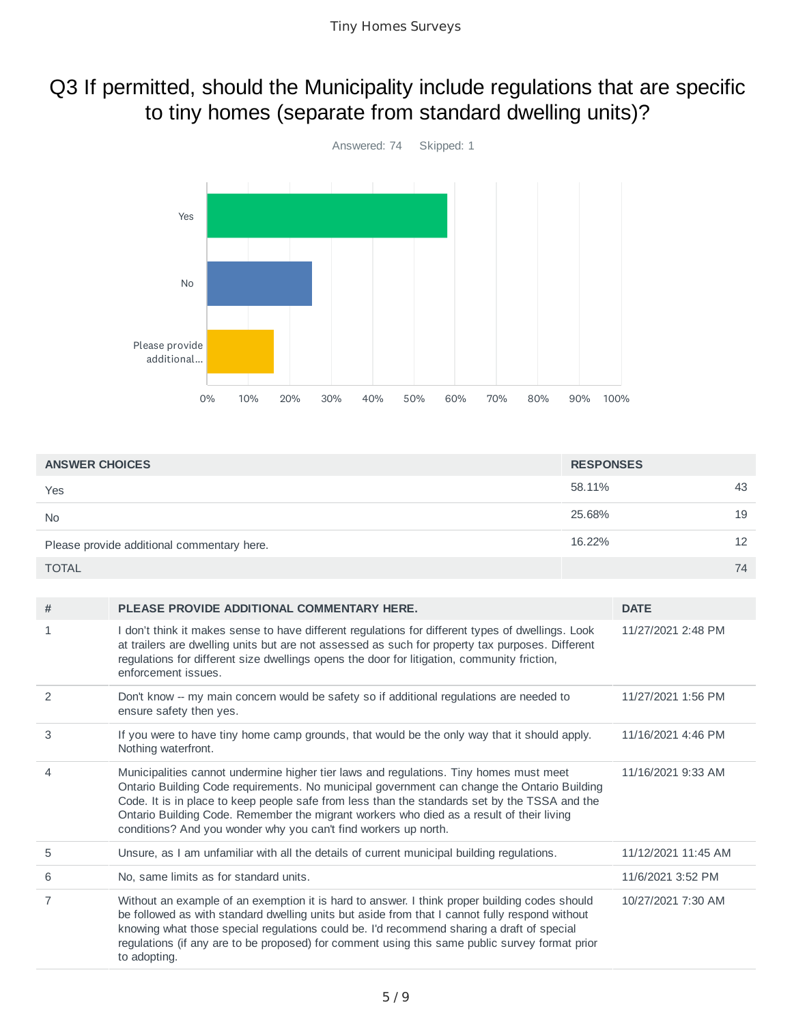### Q3 If permitted, should the Municipality include regulations that are specific to tiny homes (separate from standard dwelling units)?



| <b>ANSWER CHOICES</b>                      | <b>RESPONSES</b> |    |
|--------------------------------------------|------------------|----|
| Yes                                        | 58.11%           | 43 |
| <b>No</b>                                  | 25.68%           | 19 |
| Please provide additional commentary here. | 16.22%           | 12 |
| <b>TOTAL</b>                               |                  | 74 |

| #              | PLEASE PROVIDE ADDITIONAL COMMENTARY HERE.                                                                                                                                                                                                                                                                                                                                                                                                            | <b>DATE</b>         |
|----------------|-------------------------------------------------------------------------------------------------------------------------------------------------------------------------------------------------------------------------------------------------------------------------------------------------------------------------------------------------------------------------------------------------------------------------------------------------------|---------------------|
| 1              | I don't think it makes sense to have different regulations for different types of dwellings. Look<br>at trailers are dwelling units but are not assessed as such for property tax purposes. Different<br>regulations for different size dwellings opens the door for litigation, community friction,<br>enforcement issues.                                                                                                                           | 11/27/2021 2:48 PM  |
| 2              | Don't know -- my main concern would be safety so if additional regulations are needed to<br>ensure safety then yes.                                                                                                                                                                                                                                                                                                                                   | 11/27/2021 1:56 PM  |
| 3              | If you were to have tiny home camp grounds, that would be the only way that it should apply.<br>Nothing waterfront.                                                                                                                                                                                                                                                                                                                                   | 11/16/2021 4:46 PM  |
| $\overline{4}$ | Municipalities cannot undermine higher tier laws and regulations. Tiny homes must meet<br>Ontario Building Code requirements. No municipal government can change the Ontario Building<br>Code. It is in place to keep people safe from less than the standards set by the TSSA and the<br>Ontario Building Code. Remember the migrant workers who died as a result of their living<br>conditions? And you wonder why you can't find workers up north. | 11/16/2021 9:33 AM  |
| 5              | Unsure, as I am unfamiliar with all the details of current municipal building regulations.                                                                                                                                                                                                                                                                                                                                                            | 11/12/2021 11:45 AM |
| 6              | No, same limits as for standard units.                                                                                                                                                                                                                                                                                                                                                                                                                | 11/6/2021 3:52 PM   |
| $\overline{7}$ | Without an example of an exemption it is hard to answer. I think proper building codes should<br>be followed as with standard dwelling units but aside from that I cannot fully respond without<br>knowing what those special regulations could be. I'd recommend sharing a draft of special<br>regulations (if any are to be proposed) for comment using this same public survey format prior<br>to adopting.                                        | 10/27/2021 7:30 AM  |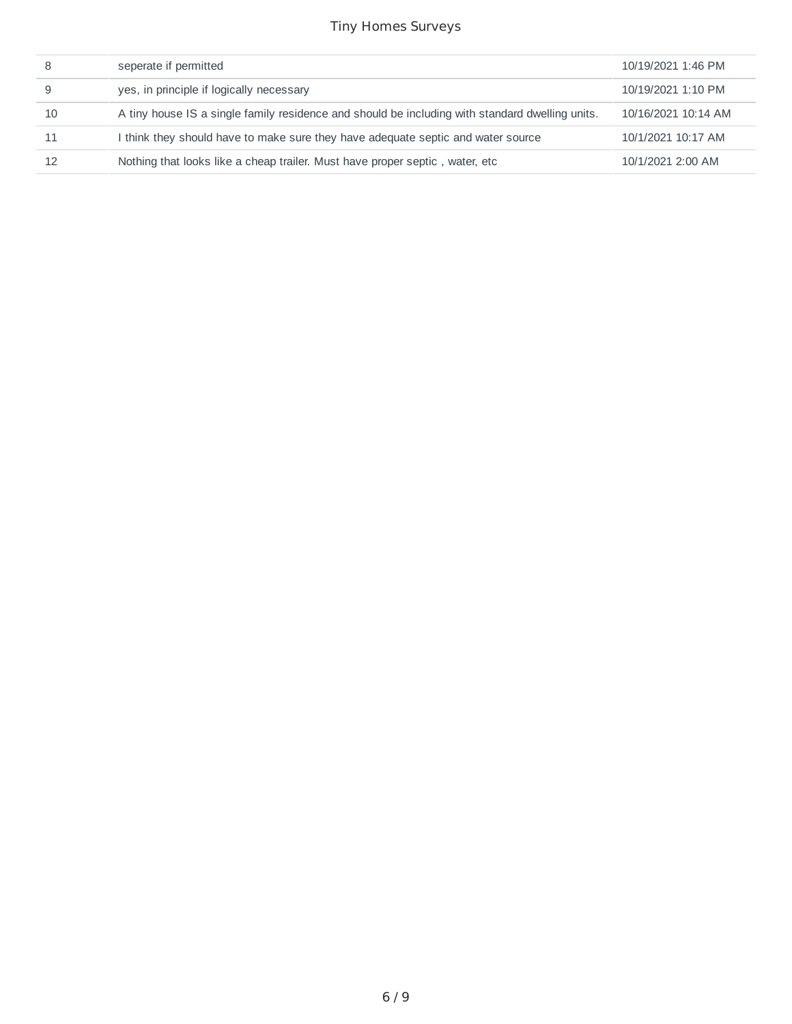|    | seperate if permitted                                                                           | 10/19/2021 1:46 PM  |
|----|-------------------------------------------------------------------------------------------------|---------------------|
|    | yes, in principle if logically necessary                                                        | 10/19/2021 1:10 PM  |
| 10 | A tiny house IS a single family residence and should be including with standard dwelling units. | 10/16/2021 10:14 AM |
| 11 | I think they should have to make sure they have adequate septic and water source                | 10/1/2021 10:17 AM  |
|    | Nothing that looks like a cheap trailer. Must have proper septic, water, etc.                   | 10/1/2021 2:00 AM   |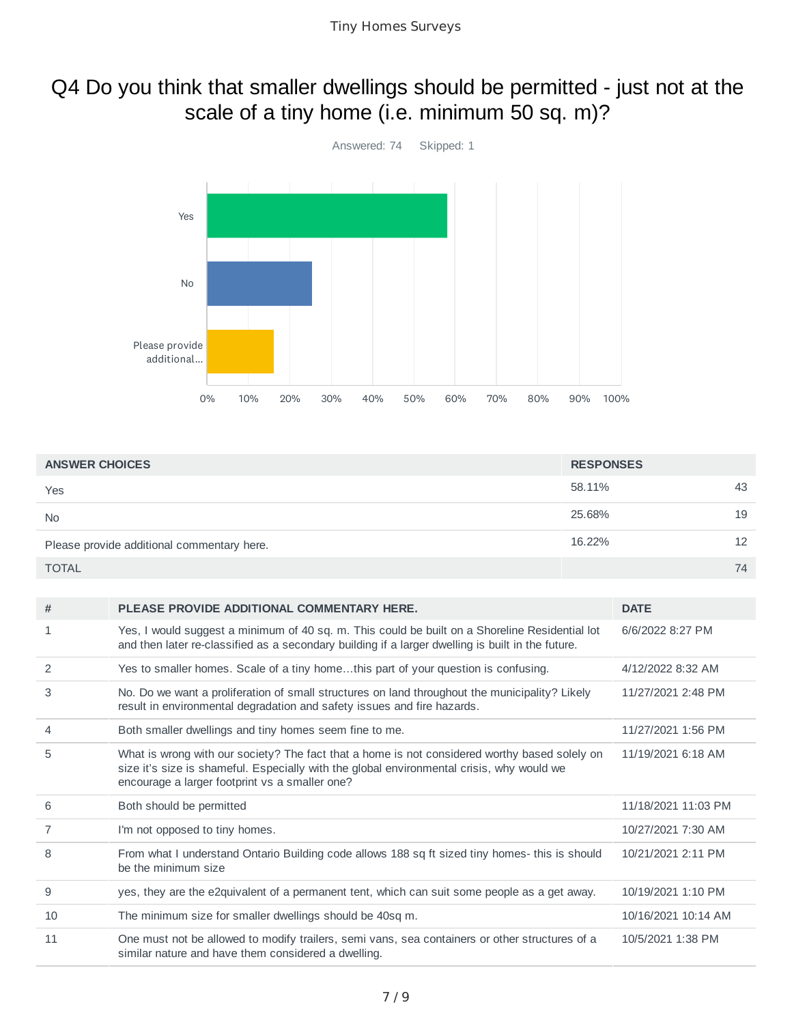# Q4 Do you think that smaller dwellings should be permitted - just not at the scale of a tiny home (i.e. minimum 50 sq. m)?



| <b>ANSWER CHOICES</b>                      | <b>RESPONSES</b> |    |
|--------------------------------------------|------------------|----|
| Yes                                        | 58.11%           | 43 |
| <b>No</b>                                  | 25.68%           | 19 |
| Please provide additional commentary here. | 16.22%           | 12 |
| <b>TOTAL</b>                               |                  | 74 |

| #            | PLEASE PROVIDE ADDITIONAL COMMENTARY HERE.                                                                                                                                                                                                   | <b>DATE</b>         |
|--------------|----------------------------------------------------------------------------------------------------------------------------------------------------------------------------------------------------------------------------------------------|---------------------|
| $\mathbf{1}$ | Yes, I would suggest a minimum of 40 sq. m. This could be built on a Shoreline Residential lot<br>and then later re-classified as a secondary building if a larger dwelling is built in the future.                                          | 6/6/2022 8:27 PM    |
| 2            | Yes to smaller homes. Scale of a tiny homethis part of your question is confusing.                                                                                                                                                           | 4/12/2022 8:32 AM   |
| 3            | No. Do we want a proliferation of small structures on land throughout the municipality? Likely<br>result in environmental degradation and safety issues and fire hazards.                                                                    | 11/27/2021 2:48 PM  |
| 4            | Both smaller dwellings and tiny homes seem fine to me.                                                                                                                                                                                       | 11/27/2021 1:56 PM  |
| 5            | What is wrong with our society? The fact that a home is not considered worthy based solely on<br>size it's size is shameful. Especially with the global environmental crisis, why would we<br>encourage a larger footprint vs a smaller one? | 11/19/2021 6:18 AM  |
| 6            | Both should be permitted                                                                                                                                                                                                                     | 11/18/2021 11:03 PM |
| 7            | I'm not opposed to tiny homes.                                                                                                                                                                                                               | 10/27/2021 7:30 AM  |
| 8            | From what I understand Ontario Building code allows 188 sq ft sized tiny homes- this is should<br>be the minimum size                                                                                                                        | 10/21/2021 2:11 PM  |
| 9            | yes, they are the e2quivalent of a permanent tent, which can suit some people as a get away.                                                                                                                                                 | 10/19/2021 1:10 PM  |
| 10           | The minimum size for smaller dwellings should be 40sq m.                                                                                                                                                                                     | 10/16/2021 10:14 AM |
| 11           | One must not be allowed to modify trailers, semi vans, sea containers or other structures of a<br>similar nature and have them considered a dwelling.                                                                                        | 10/5/2021 1:38 PM   |